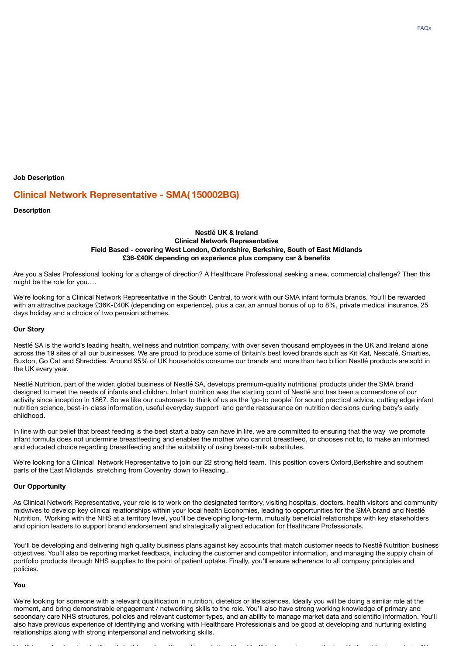**Job Description**

# **Clinical Network Representative - SMA( 150002BG)**

**Description**

### **Nestlé UK & Ireland Clinical Network Representative Field Based - covering West London, Oxfordshire, Berkshire, South of East Midlands £36-£40K depending on experience plus company car & benefits**

Are you a Sales Professional looking for a change of direction? A Healthcare Professional seeking a new, commercial challenge? Then this might be the role for you….

We're looking for a Clinical Network Representative in the South Central, to work with our SMA infant formula brands. You'll be rewarded with an attractive package £36K-£40K (depending on experience), plus a car, an annual bonus of up to 8%, private medical insurance, 25 days holiday and a choice of two pension schemes.

#### **Our Story**

Nestlé SA is the world's leading health, wellness and nutrition company, with over seven thousand employees in the UK and Ireland alone across the 19 sites of all our businesses. We are proud to produce some of Britain's best loved brands such as Kit Kat, Nescafé, Smarties, Buxton, Go Cat and Shreddies. Around 95% of UK households consume our brands and more than two billion Nestlé products are sold in the UK every year.

Nestlé Nutrition, part of the wider, global business of Nestlé SA, develops premium-quality nutritional products under the SMA brand designed to meet the needs of infants and children. Infant nutrition was the starting point of Nestlé and has been a cornerstone of our activity since inception in 1867. So we like our customers to think of us as the 'go-to people' for sound practical advice, cutting edge infant nutrition science, best-in-class information, useful everyday support and gentle reassurance on nutrition decisions during baby's early childhood.

In line with our belief that breast feeding is the best start a baby can have in life, we are committed to ensuring that the way we promote infant formula does not undermine breastfeeding and enables the mother who cannot breastfeed, or chooses not to, to make an informed and educated choice regarding breastfeeding and the suitability of using breast-milk substitutes.

We're looking for a Clinical Network Representative to join our 22 strong field team. This position covers Oxford,Berkshire and southern parts of the East Midlands stretching from Coventry down to Reading..

#### **Our Opportunity**

As Clinical Network Representative, your role is to work on the designated territory, visiting hospitals, doctors, health visitors and community midwives to develop key clinical relationships within your local health Economies, leading to opportunities for the SMA brand and Nestlé Nutrition. Working with the NHS at a territory level, you'll be developing long-term, mutually beneficial relationships with key stakeholders and opinion leaders to support brand endorsement and strategically aligned education for Healthcare Professionals.

You'll be developing and delivering high quality business plans against key accounts that match customer needs to Nestlé Nutrition business objectives. You'll also be reporting market feedback, including the customer and competitor information, and managing the supply chain of portfolio products through NHS supplies to the point of patient uptake. Finally, you'll ensure adherence to all company principles and policies.

#### **You**

We're looking for someone with a relevant qualification in nutrition, dietetics or life sciences. Ideally you will be doing a similar role at the moment, and bring demonstrable engagement / networking skills to the role. You'll also have strong working knowledge of primary and secondary care NHS structures, policies and relevant customer types, and an ability to manage market data and scientific information. You'll also have previous experience of identifying and working with Healthcare Professionals and be good at developing and nurturing existing relationships along with strong interpersonal and networking skills.

You'll be professional and will easily build good quality working relationships. You'll be happy to co-ordinate with the wider team, but will be